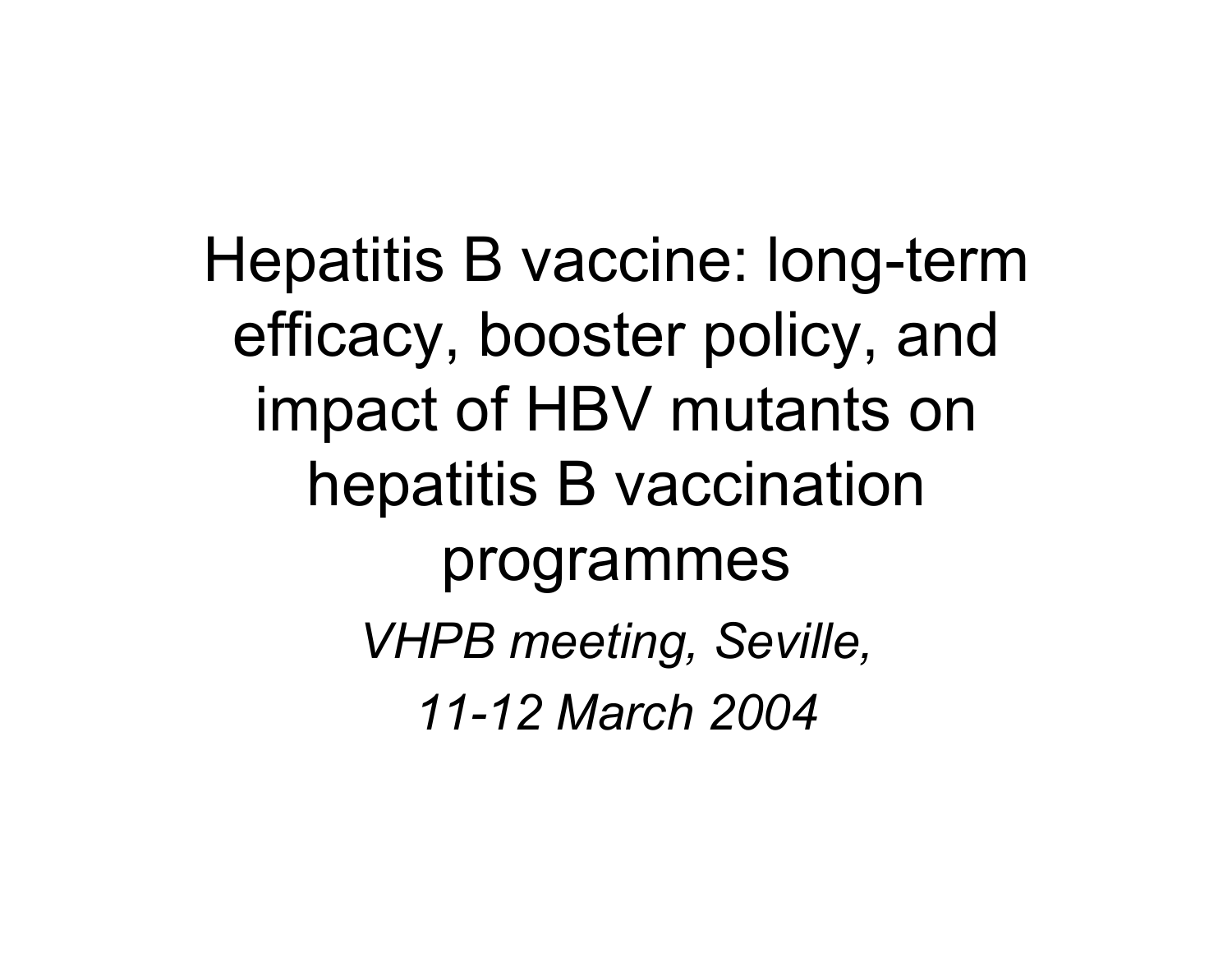Hepatitis B vaccine: long-term efficacy, booster policy, and impact of HBV mutants on hepatitis B vaccination programmes *VHPB meeting, Seville, 11-12 March 2004*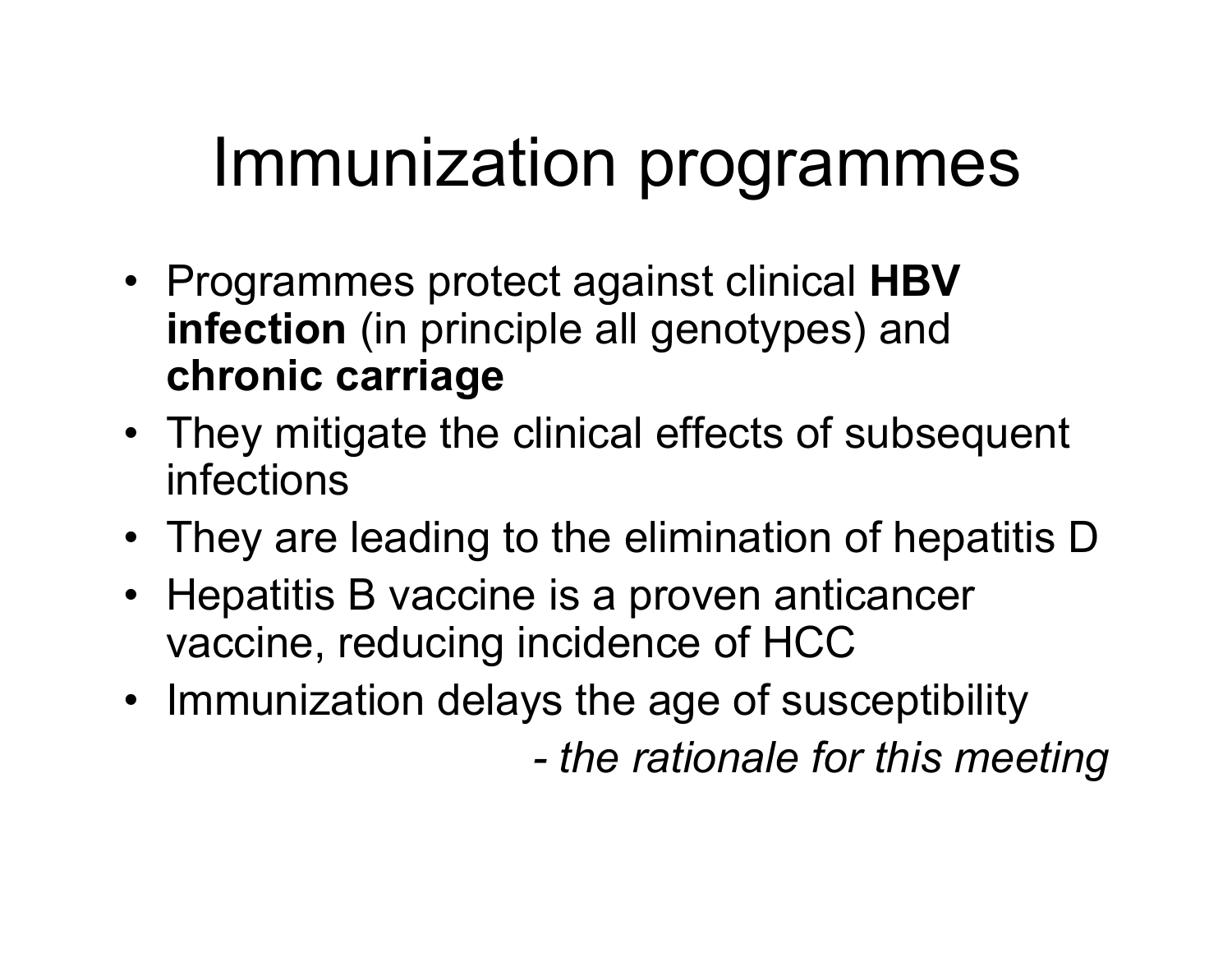## Immunization programmes

- Programmes protect against clinical **HBV infection** (in principle all genotypes) and **chronic carriage**
- They mitigate the clinical effects of subsequent infections
- They are leading to the elimination of hepatitis D
- Hepatitis B vaccine is a proven anticancer vaccine, reducing incidence of HCC
- Immunization delays the age of susceptibility *- the rationale for this meeting*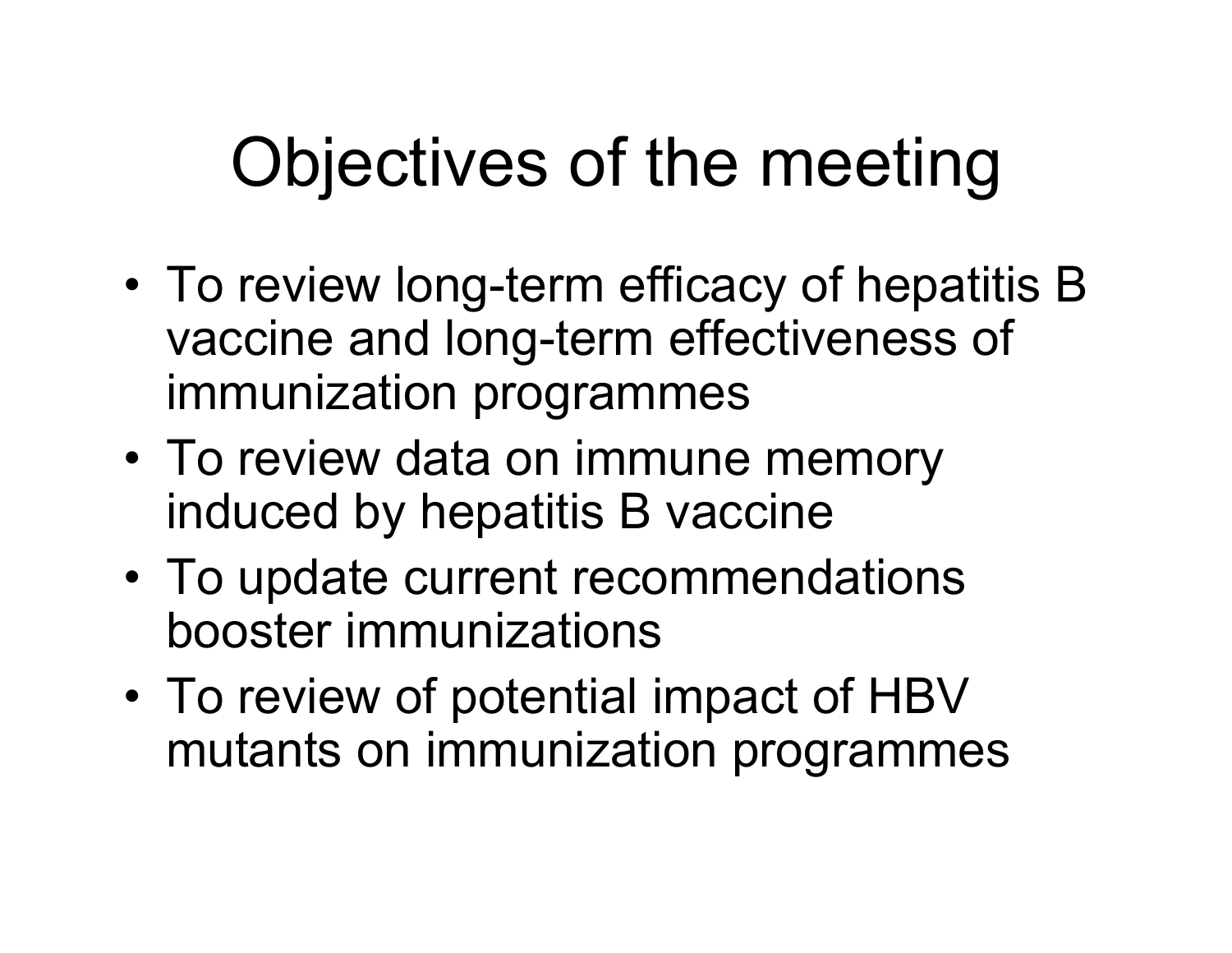# Objectives of the meeting

- • To review long-term efficacy of hepatitis B vaccine and long-term effectiveness of immunization programmes
- • To review data on immune memory induced by hepatitis B vaccine
- • To update current recommendations booster immunizations
- •• To review of potential impact of HBV mutants on immunization programmes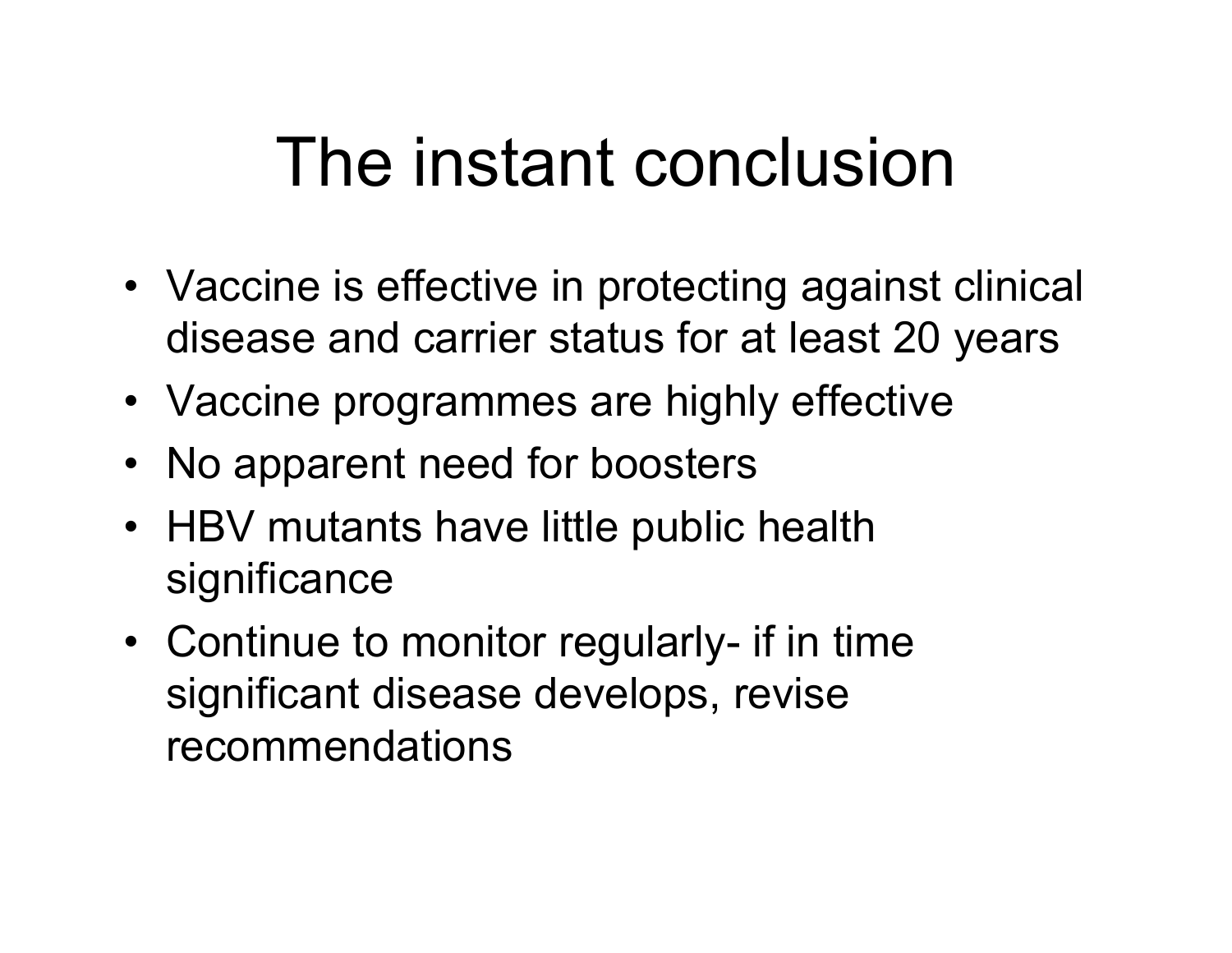# The instant conclusion

- Vaccine is effective in protecting against clinical disease and carrier status for at least 20 years
- Vaccine programmes are highly effective
- No apparent need for boosters
- HBV mutants have little public health significance
- Continue to monitor regularly- if in time significant disease develops, revise recommendations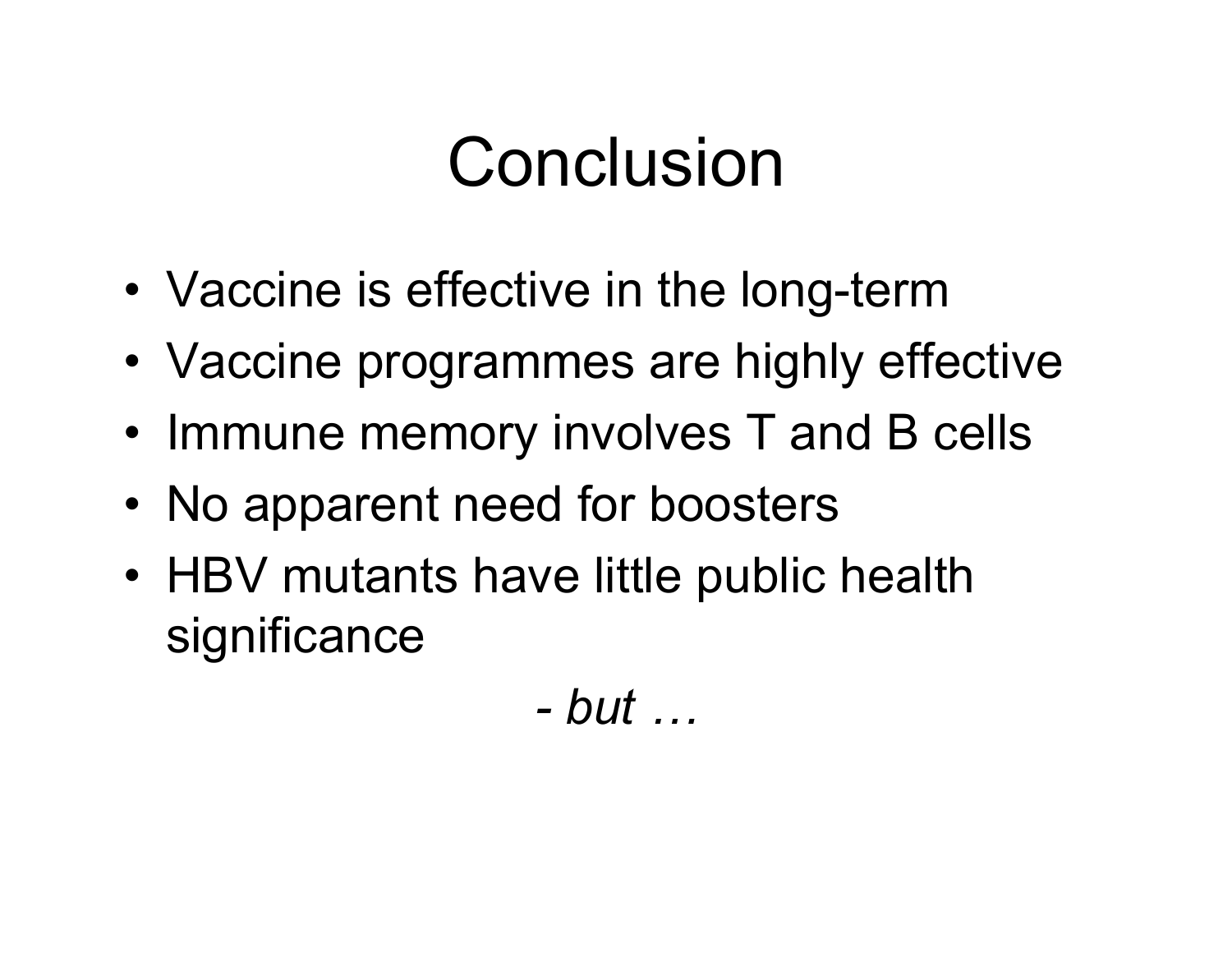# Conclusion

- •Vaccine is effective in the long-term
- •Vaccine programmes are highly effective
- Immune memory involves T and B cells
- •• No apparent need for boosters
- HBV mutants have little public health significance

*- but …*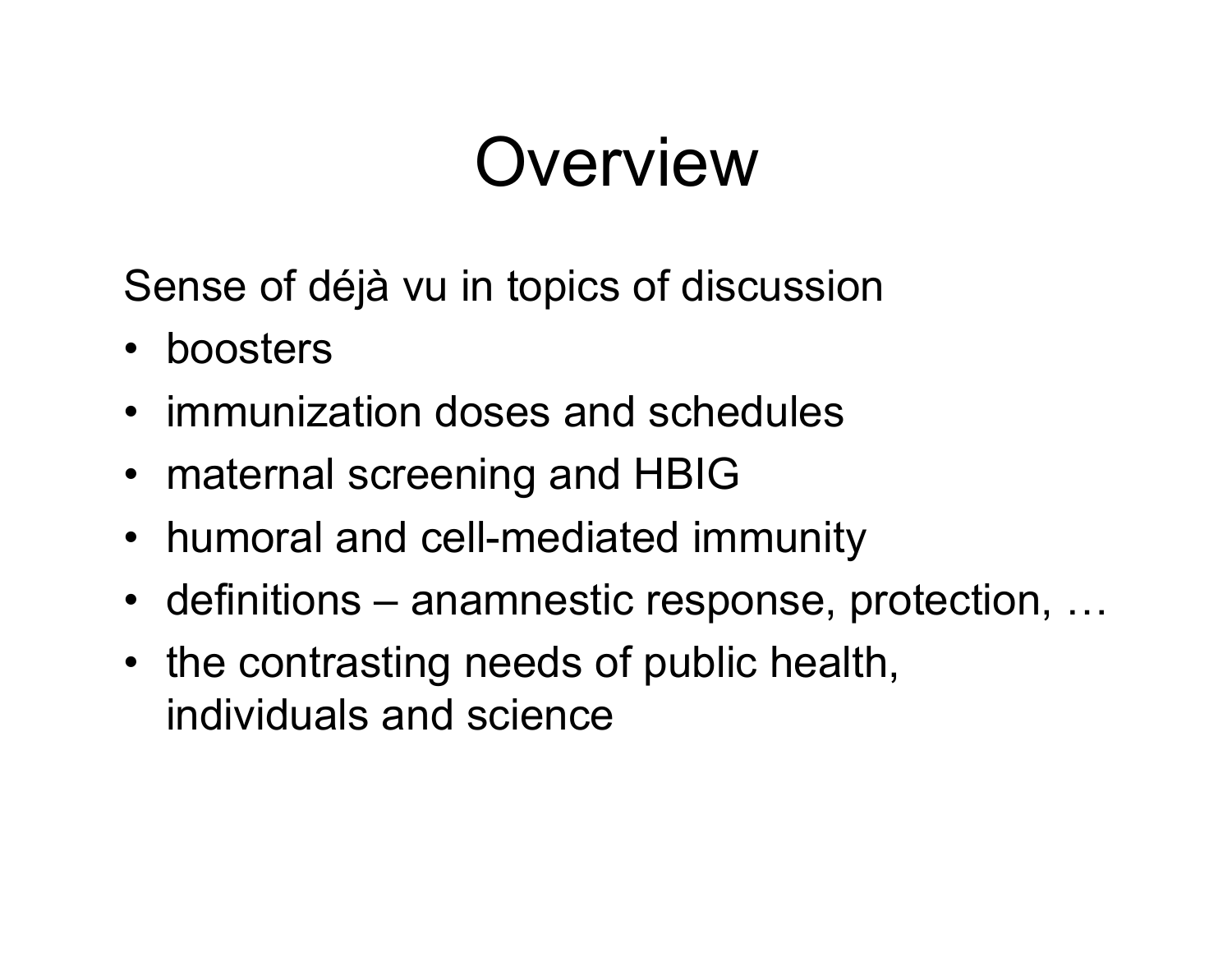# **Overview**

Sense of déjà vu in topics of discussion

- boosters
- immunization doses and schedules
- maternal screening and HBIG
- humoral and cell-mediated immunity
- definitions anamnestic response, protection, ...
- the contrasting needs of public health, individuals and science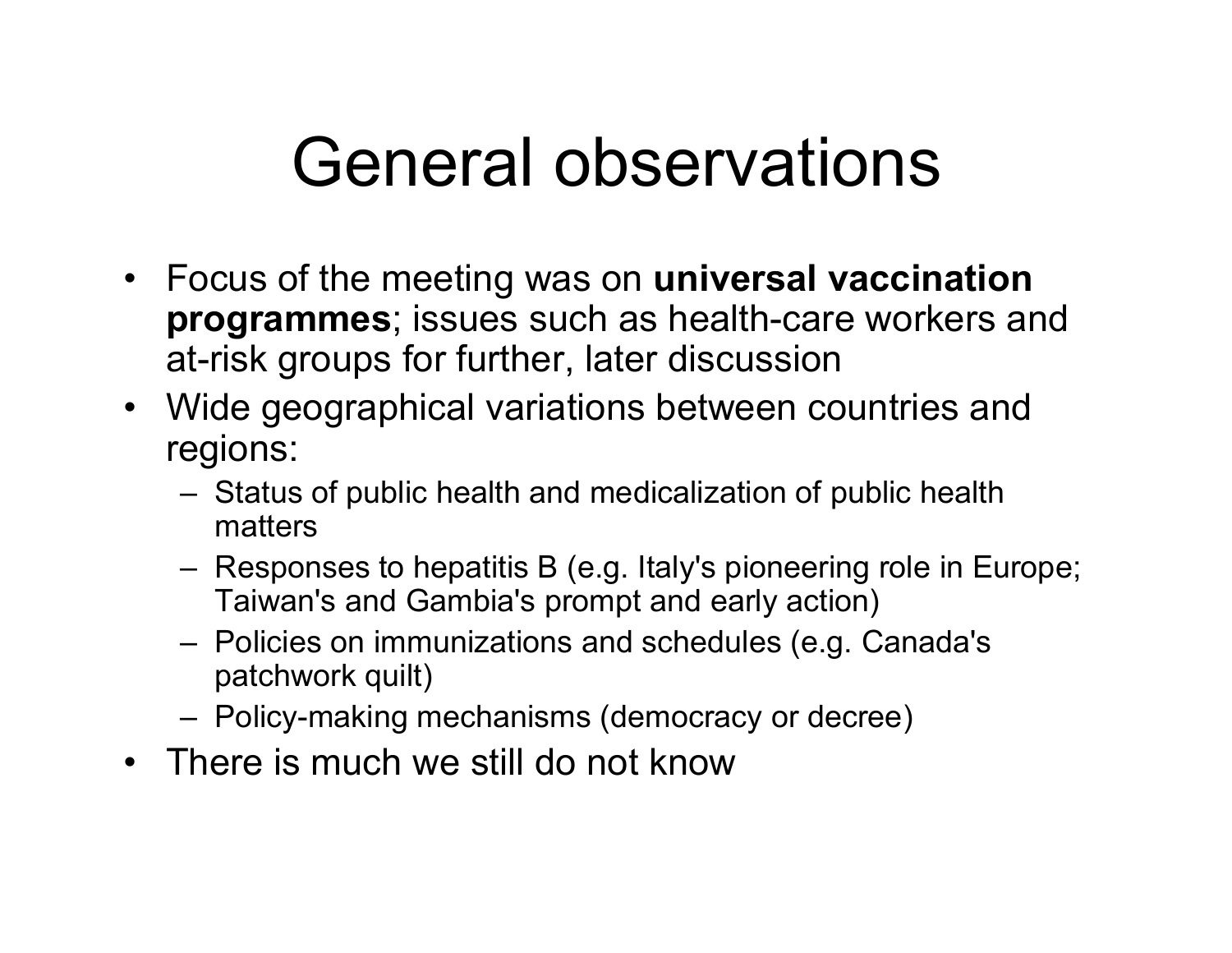## General observations

- Focus of the meeting was on **universal vaccination programmes**; issues such as health-care workers and at-risk groups for further, later discussion
- Wide geographical variations between countries and regions:
	- Status of public health and medicaliz ation of public health matters
	- Responses to hepatitis B (e.g. Italy's pioneering role in Europe; Taiwan's and Gambia's prompt and early action)
	- Policies on immunizations and schedules (e.g. Canada's patchwork quilt)
	- Policy-making mechanisms (democracy or decree)
- •There is much we still do not know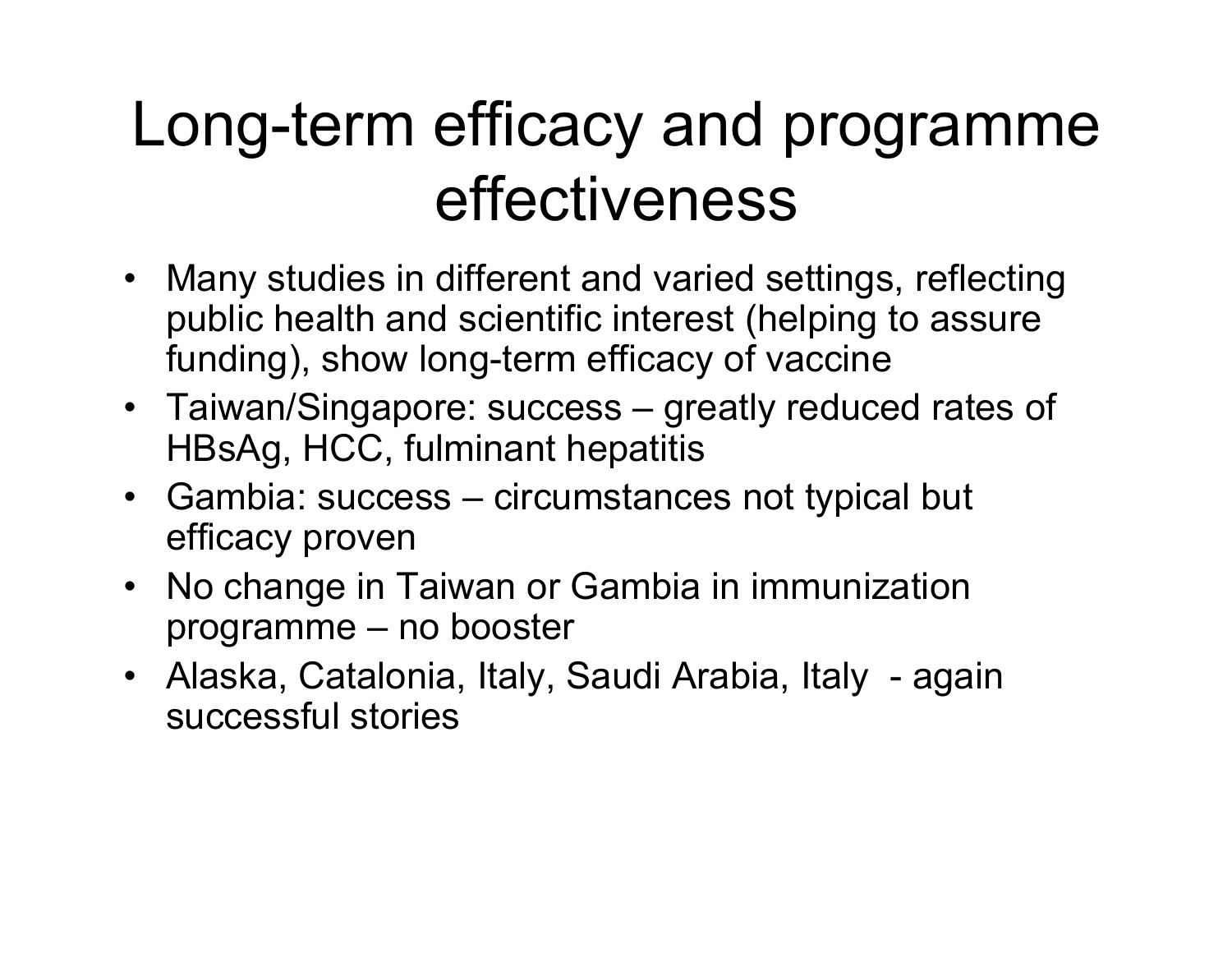## Long-term efficacy and programme effectiveness

- Many studies in different and varied settings, reflecting public health and scientific interest (helping to assure funding), show long-term efficacy of vaccine
- Taiwan/Singapore: success greatly reduced rates of HBsAg, HCC, fulminant hepatitis
- Gambia: success circumstances not typical but efficacy proven
- No change in Taiwan or Gambia in immunization programme – no booster
- Alaska, Catalonia, Italy, Saudi Arabia, Italy again successful stories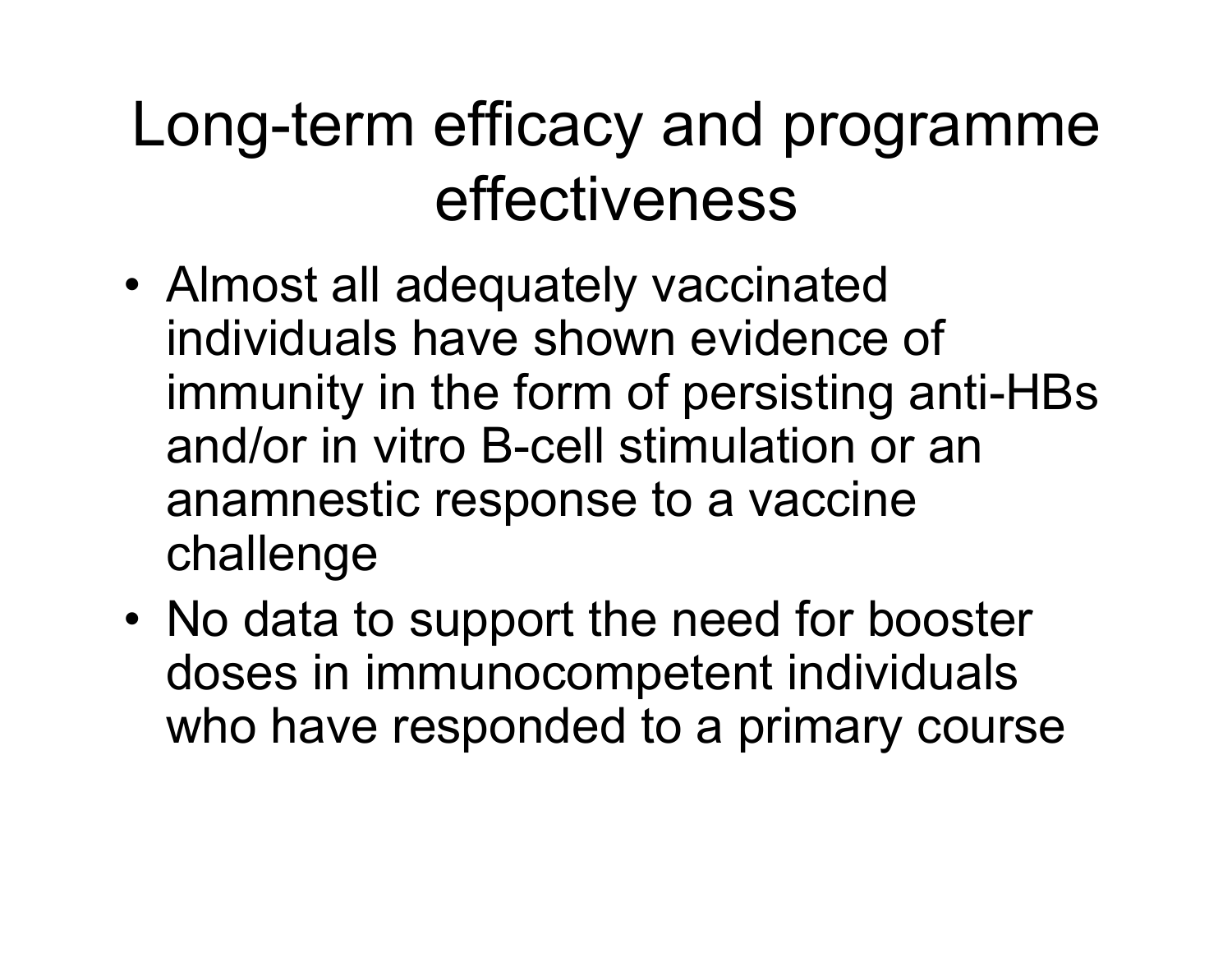## Long-term efficacy and programme effectiveness

- • Almost all adequately vaccinated individuals have shown evidence of immunity in the form of persisting anti-HBs and/or in vitro B-cell stimulation or an anamnestic response to a vaccine challenge
- •• No data to support the need for booster doses in immunocompetent individuals who have responded to a primary course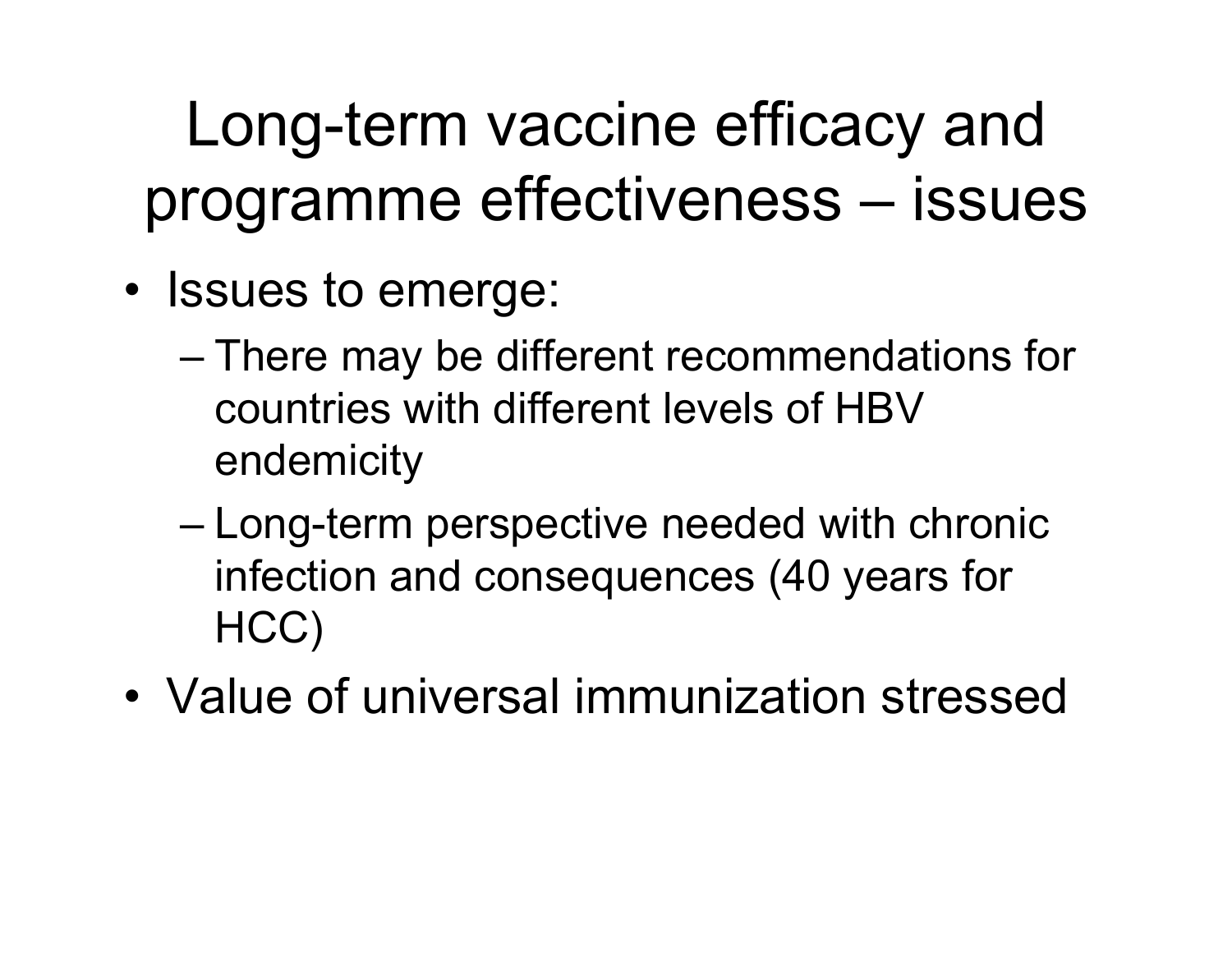Long-term vaccine efficacy and programme effectiveness – issues

- Issues to emerge:
	- There may be different recommendations for countries with different levels of HBV endemicity
	- and the state of the state Long-term perspective needed with chronic infection and consequences (40 years for HCC)
- •Value of universal immunization stressed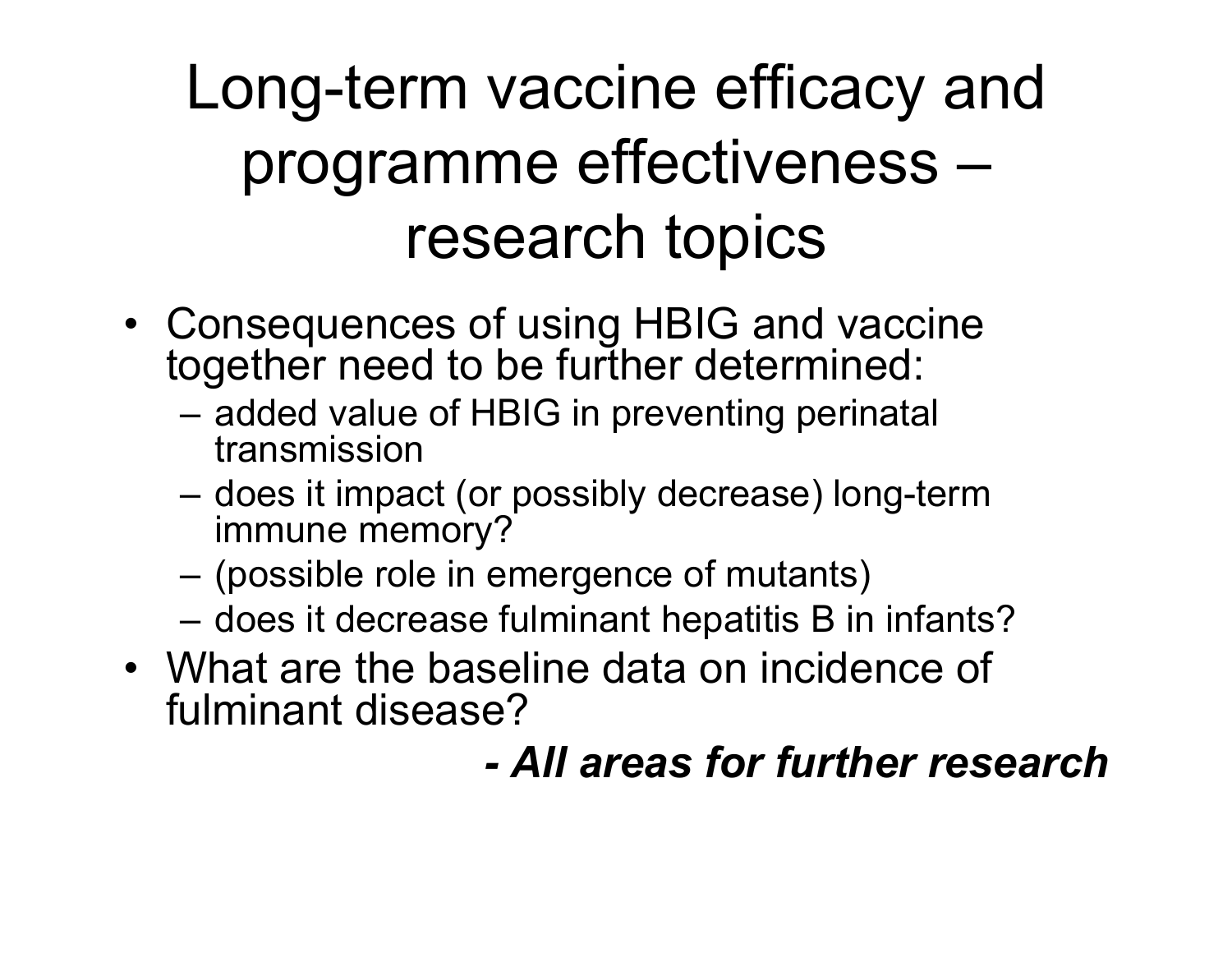## Long-term vaccine efficacy and programme effectiveness – research topics

- Consequences of using HBIG and vaccine together need to be further determined:
	- added value of HBIG in preventing perinatal transmission
	- does it impact (or possibly decrease) long-term immune memory?
	- (possible role in emergence of mutants)
	- $-$  does it decrease fulminant hepatitis B in infants?
- What are the baseline data on incidence of fulminant disease?

#### *-All areas for further research*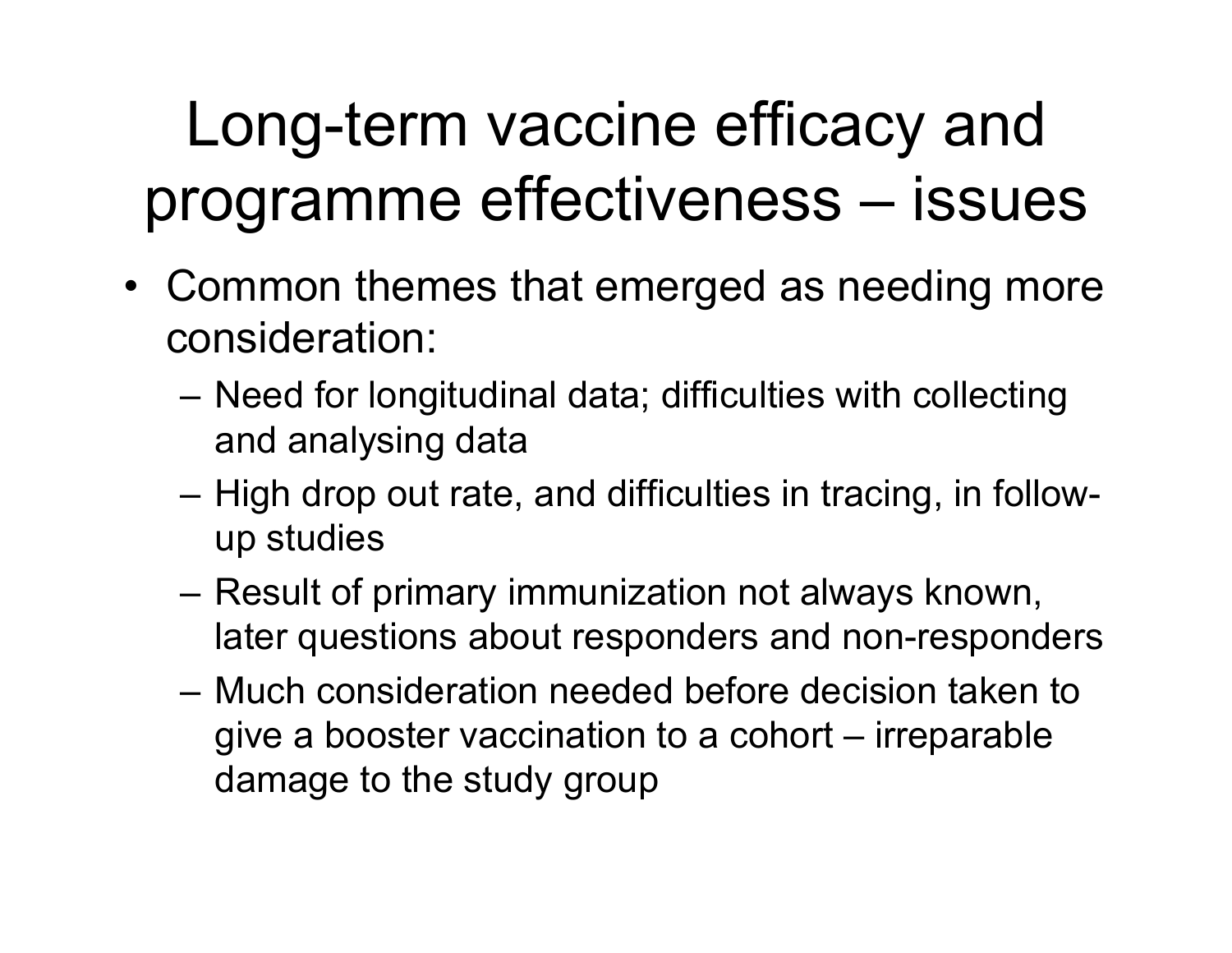## Long-term vaccine efficacy and programme effectiveness – issues

- Common themes that emerged as needing more consideration:
	- Need for longitudinal data; difficulties with collecting and analysing data
	- High drop out rate, and difficulties in tracing, in followup studies
	- Result of primary immunization not always known, later questions about responders and non-responders
	- –Much consideration needed before decision taken to give a booster vaccination to a cohort – irreparable damage to the study group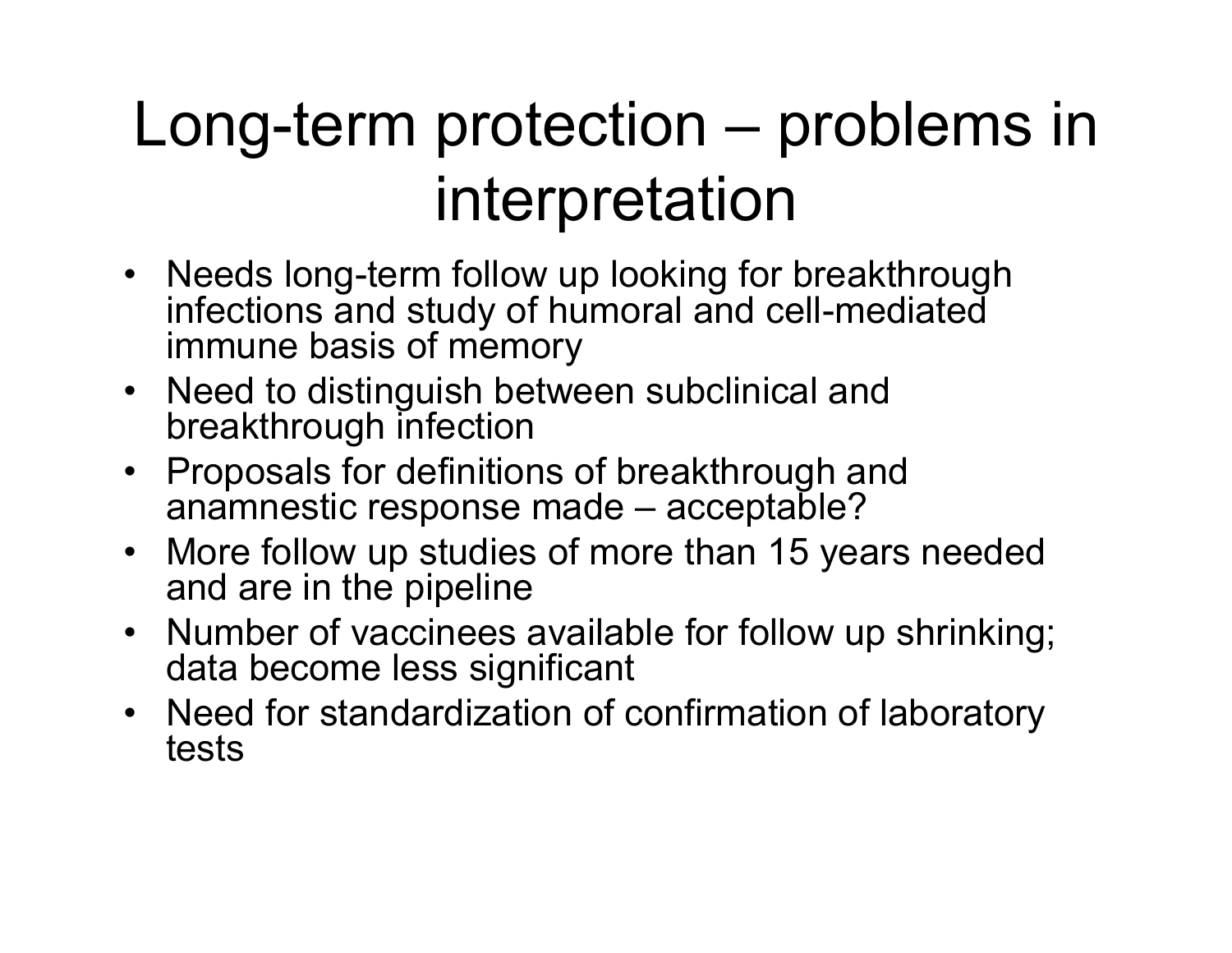## Long-term protection – problems in interpretation

- Needs long-term follow up looking for breakthrough infections and study of humoral and cell-mediated immune basis of memory
- Need to distinguish between subclinical and breakthrough infection
- Proposals for definitions of breakthrough and anamnestic response made – acceptable?
- More follow up studies of more than 15 years needed and are in the pipeline
- Number of vaccinees available for follow up shrinking; data become less significant
- Need for standardization of confirmation of laboratory tests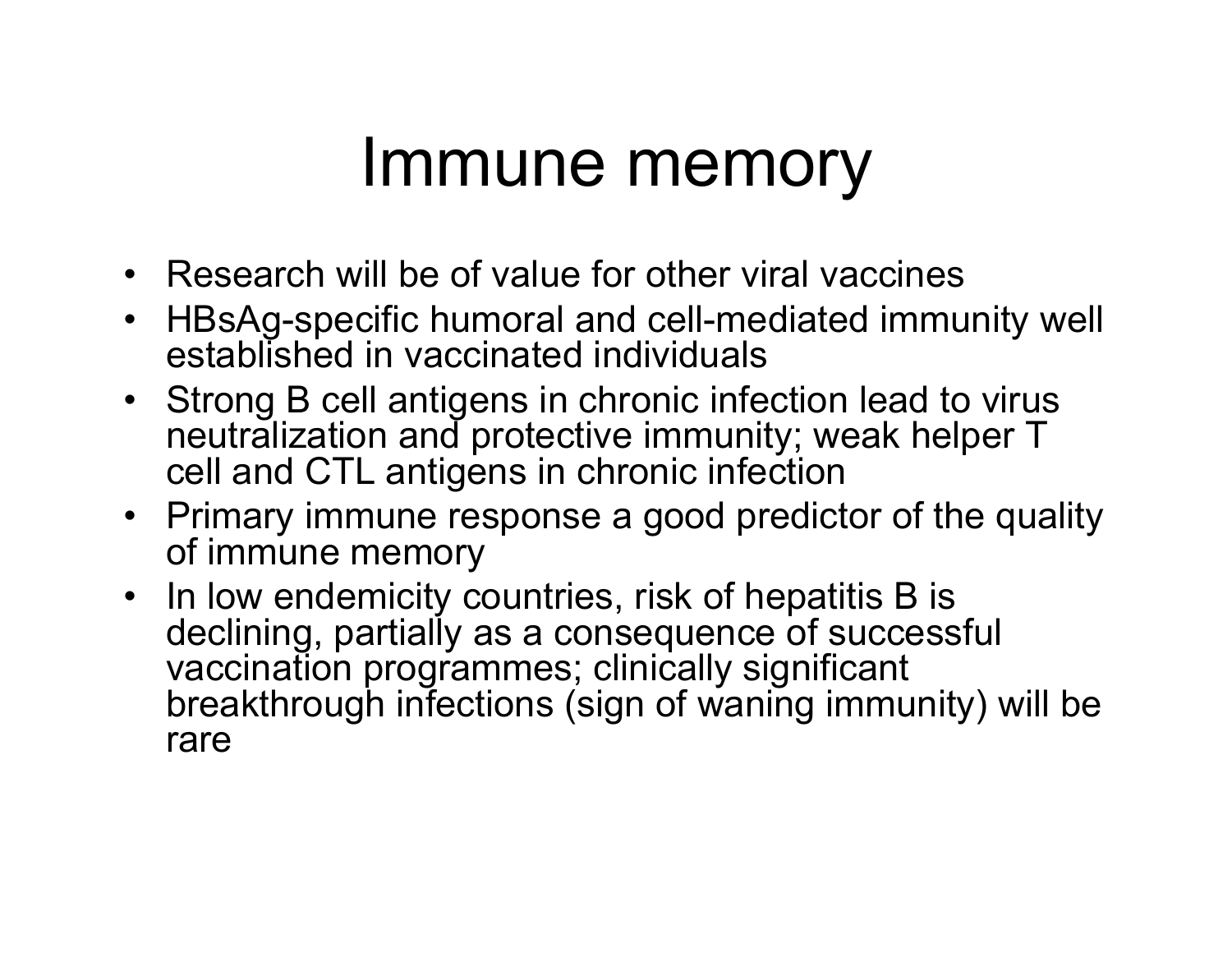## Immune memory

- Research will be of value for other viral vaccines
- HBsAg-specific humoral and cell-mediated immunity well established in vaccinated individuals
- Strong B cell antigens in chronic infection lead to virus neutralization and protective immunity; weak helper T cell and CTL antigens in chronic infection
- Primary immune response a good predictor of the quality of immune memory
- In low endemicity countries, risk of hepatitis B is declining, partially as a consequence of successful vaccination programmes; clinically significant breakthrough infections (sign of waning immunity) will be rare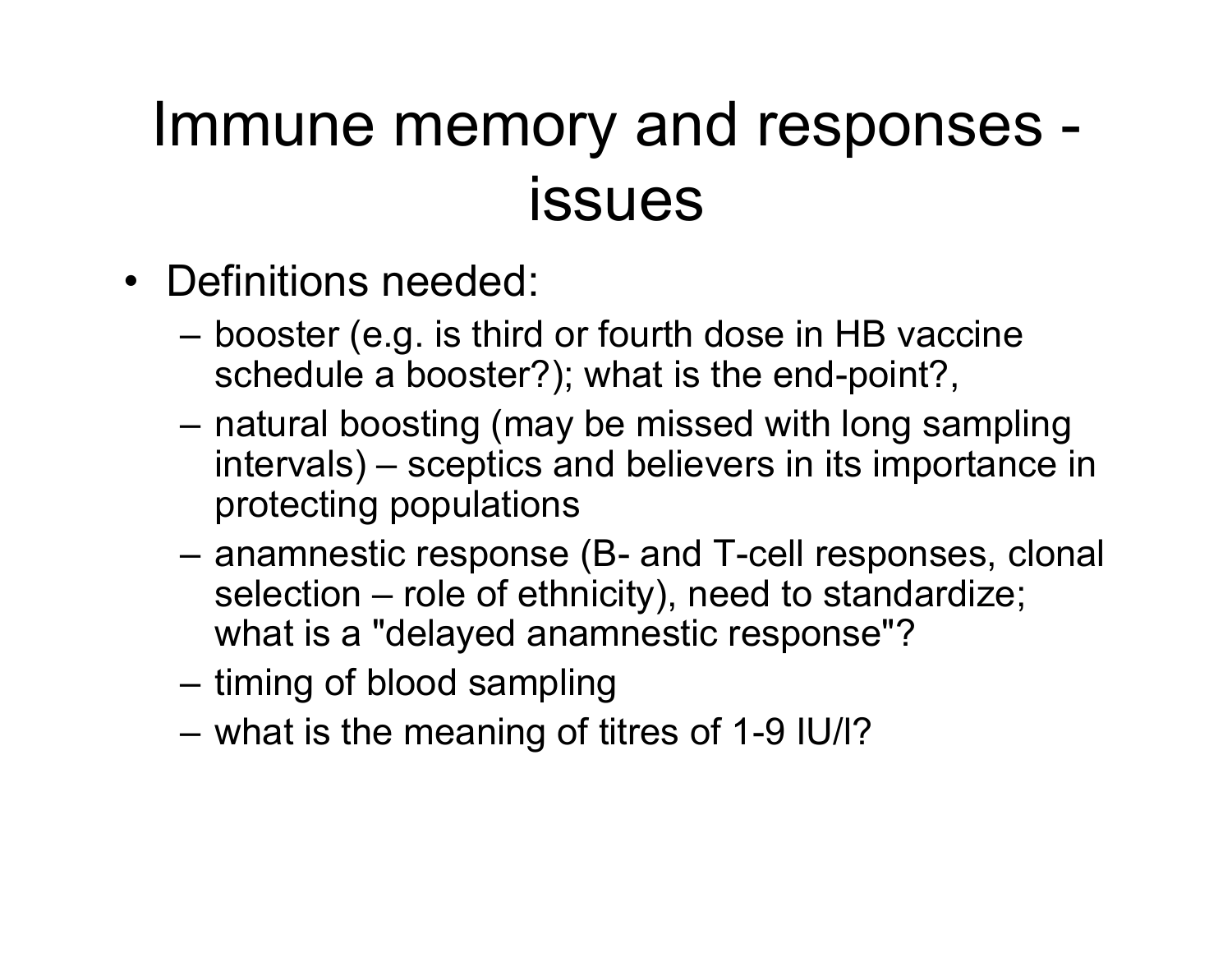#### Immune memory and responses issues

- •Definitions needed:
	- booster (e.g. is third or fourth dose in HB vaccine schedule a booster?); what is the end-point?,
	- natural boosting (may be missed with long sampling intervals) – sceptics and believers in its importance in protecting populations
	- anamnestic response (B- and T-cell responses, clonal selection – role of ethnicity), need to standardize; what is a "delayed anamnestic response"?
	- timing of blood sampling
	- what is the meaning of titres of 1-9 IU/l?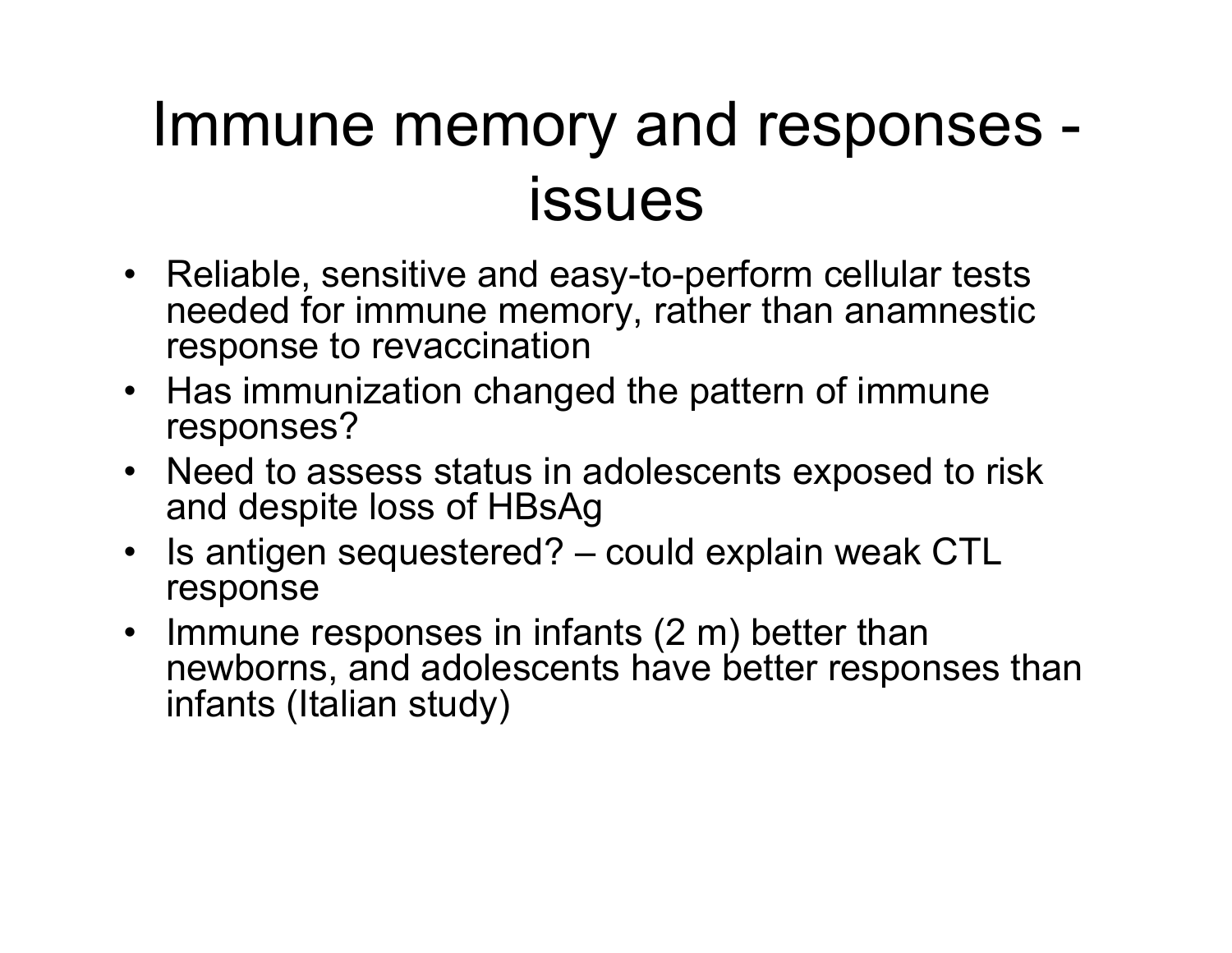## Immune memory and responses issues

- Reliable, sensitive and easy-to-perform cellular tests needed for immune memory, rather than anamnestic response to revaccination
- Has immunization changed the pattern of immune responses?
- Need to assess status in adolescents exposed to risk and despite loss of HBsAg
- Is antigen sequestered? could explain weak CTL response
- Immune responses in infants (2 m) better than newborns, and adolescents have better responses than infants (Italian study)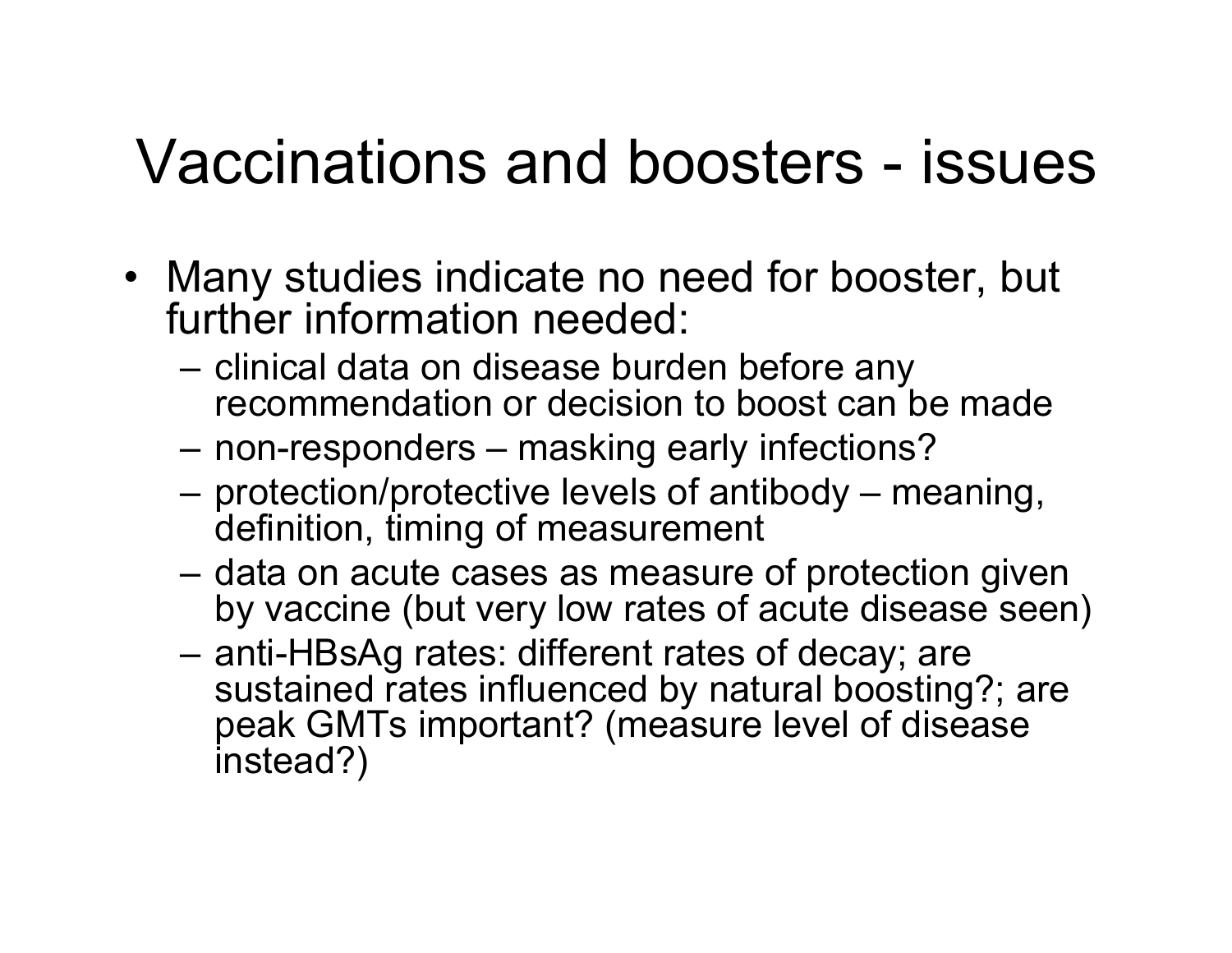#### Vaccinations and boosters - issues

- Many studies indicate no need for booster, but further information needed:
	- clinical data on disease burden before any recommendation or decision to boost can be made
	- non-responders masking early infections?
	- protection/protective levels of antibody meaning, definition, timing of measurement
	- data on acute cases as measure of protection given by vaccine (but very low rates of acute disease seen)
	- anti-HBsAg rates: different rates of decay; are sustained rates influenced by natural boosting?; are peak GMTs important? (measure level of disease instead?)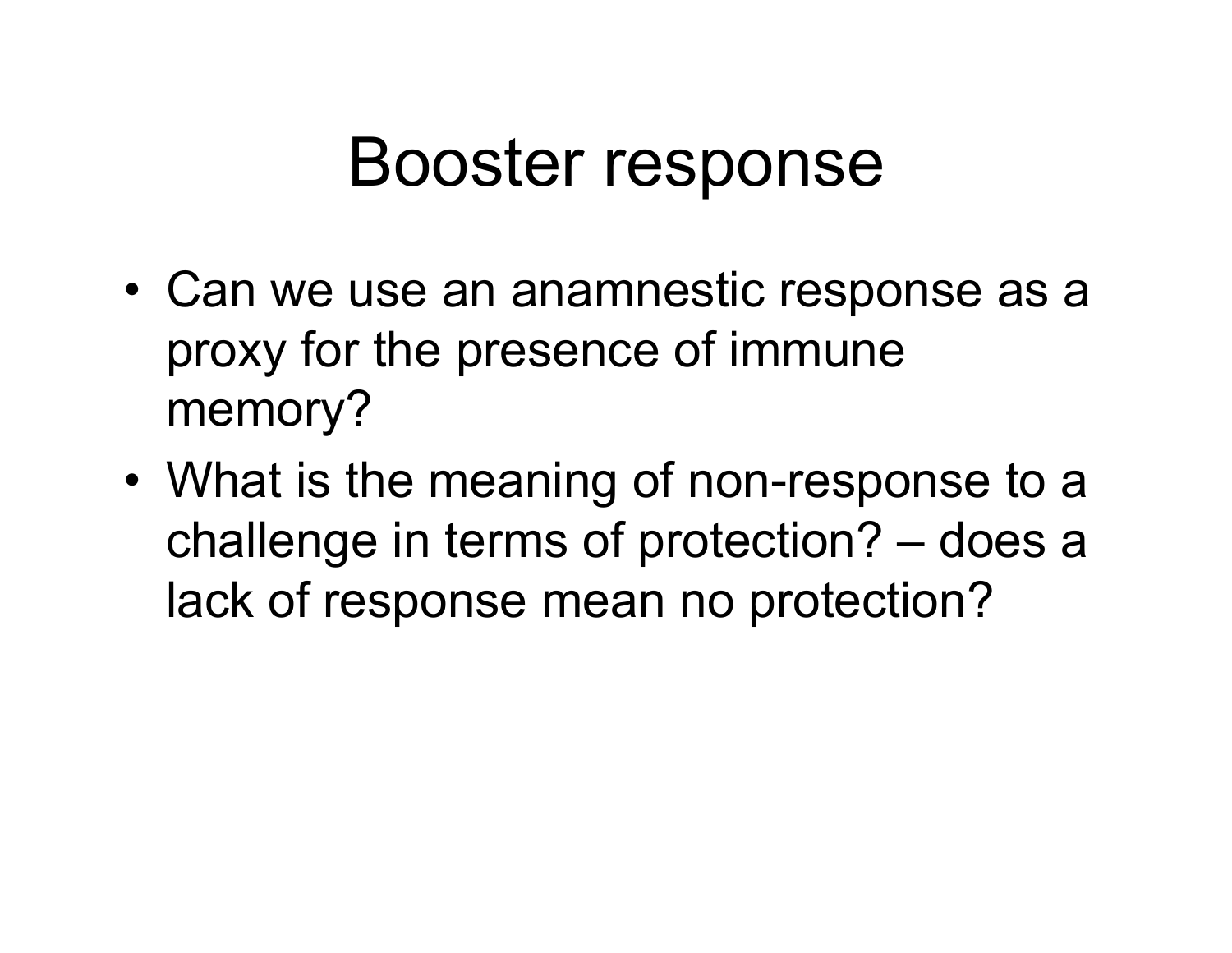## Booster response

- •• Can we use an anamnestic response as a proxy for the presence of immune memory?
- • What is the meaning of non-response to a challenge in terms of protection? – does a lack of response mean no protection?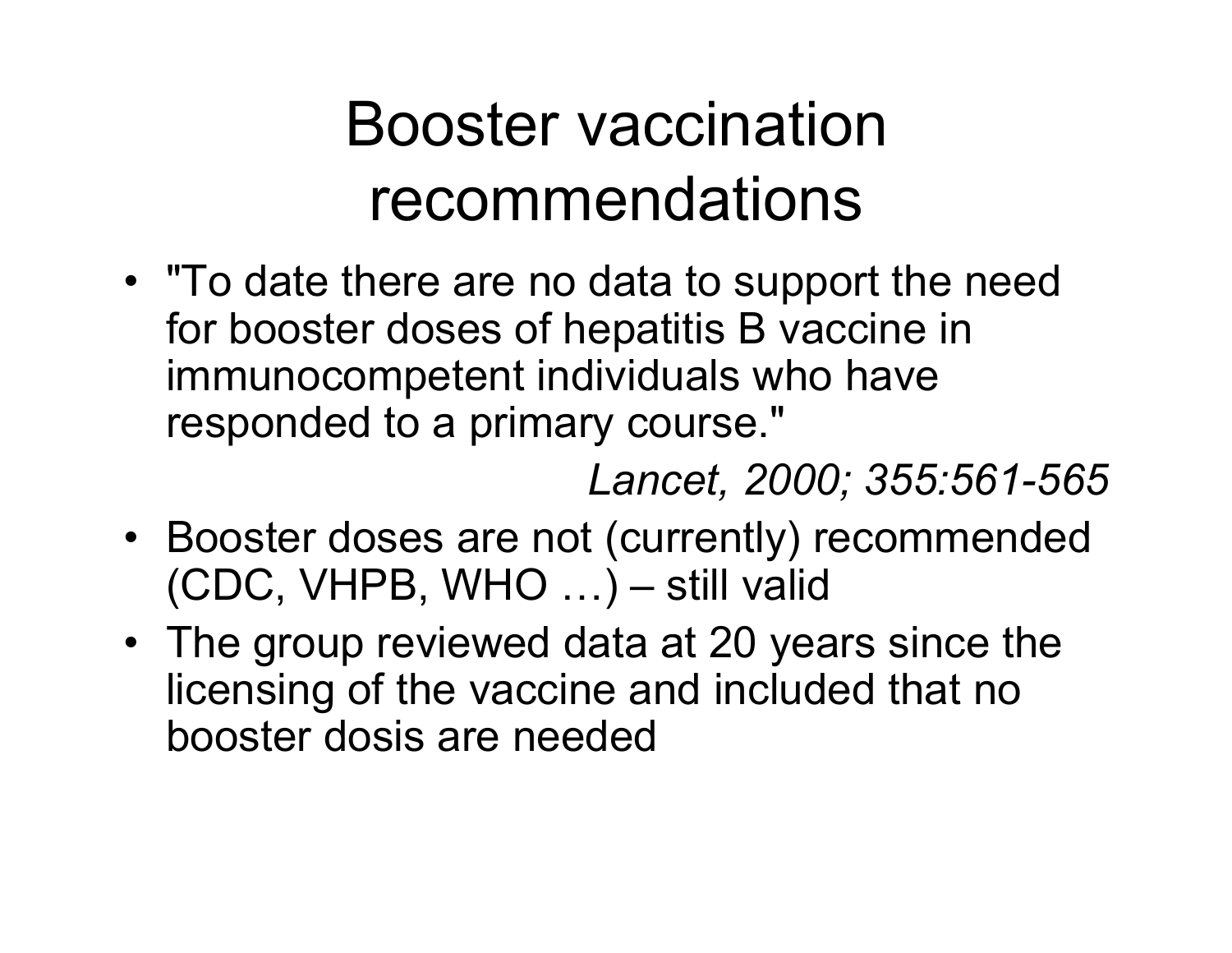## Booster vaccination recommendations

• "To date there are no data to support the need for booster doses of hepatitis B vaccine in immunocompetent individuals who have responded to a primary course."

*Lancet, 2000; 355:561-565*

- Booster doses are not (currently) recommended (CDC, VHPB, WHO …) – still valid
- The group reviewed data at 20 years since the licensing of the vaccine and included that no booster dosis are needed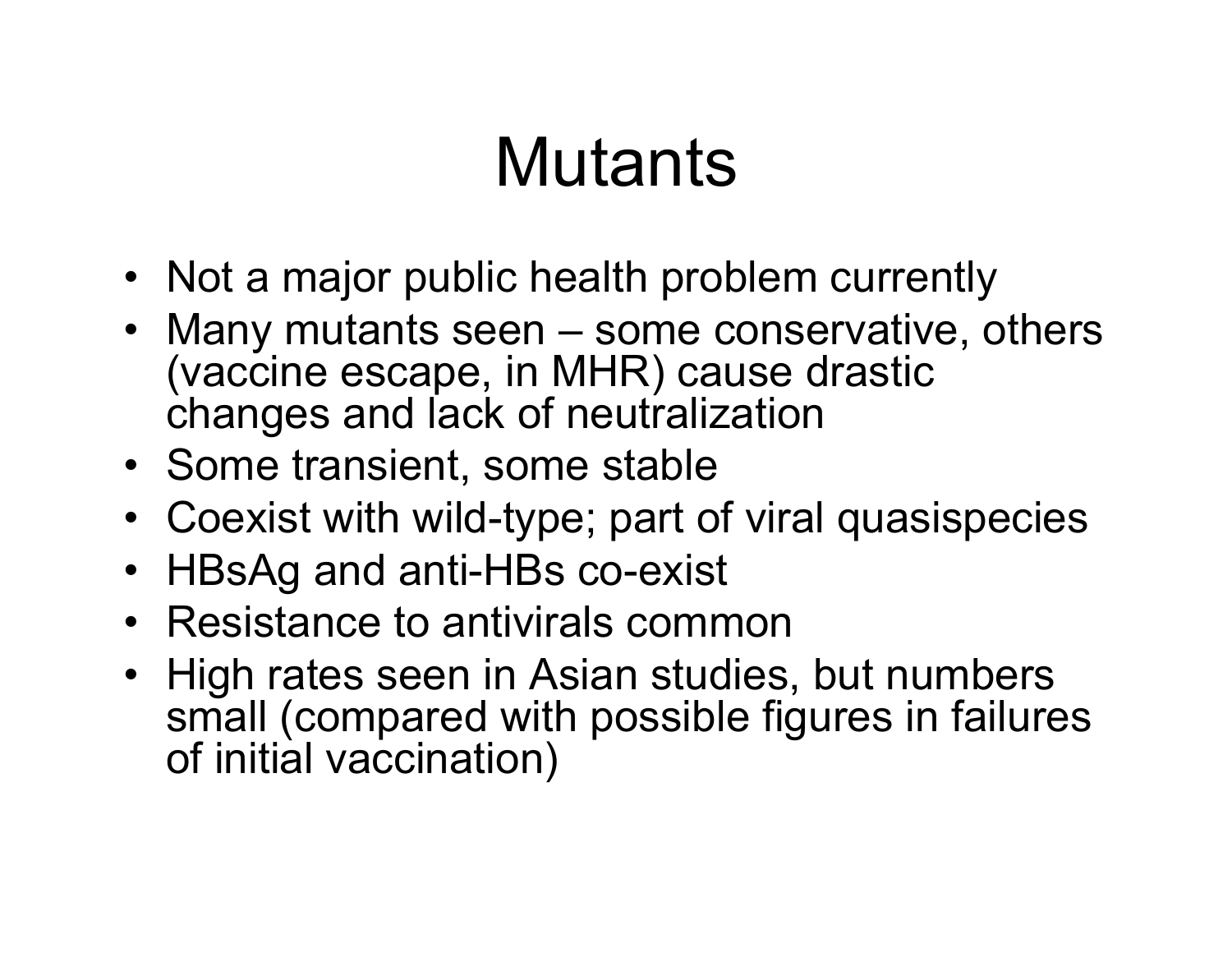# **Mutants**

- Not a major public health problem currently
- Many mutants seen some conservative, others (vaccine escape, in MHR) cause drastic changes and lack of neutralization
- Some transient, some stable
- Coexist with wild-type; part of viral quasispecies
- HBsAg and anti-HBs co-exist
- Resistance to antivirals common
- High rates seen in Asian studies, but numbers small (compared with possible figures in failures of initial vaccination)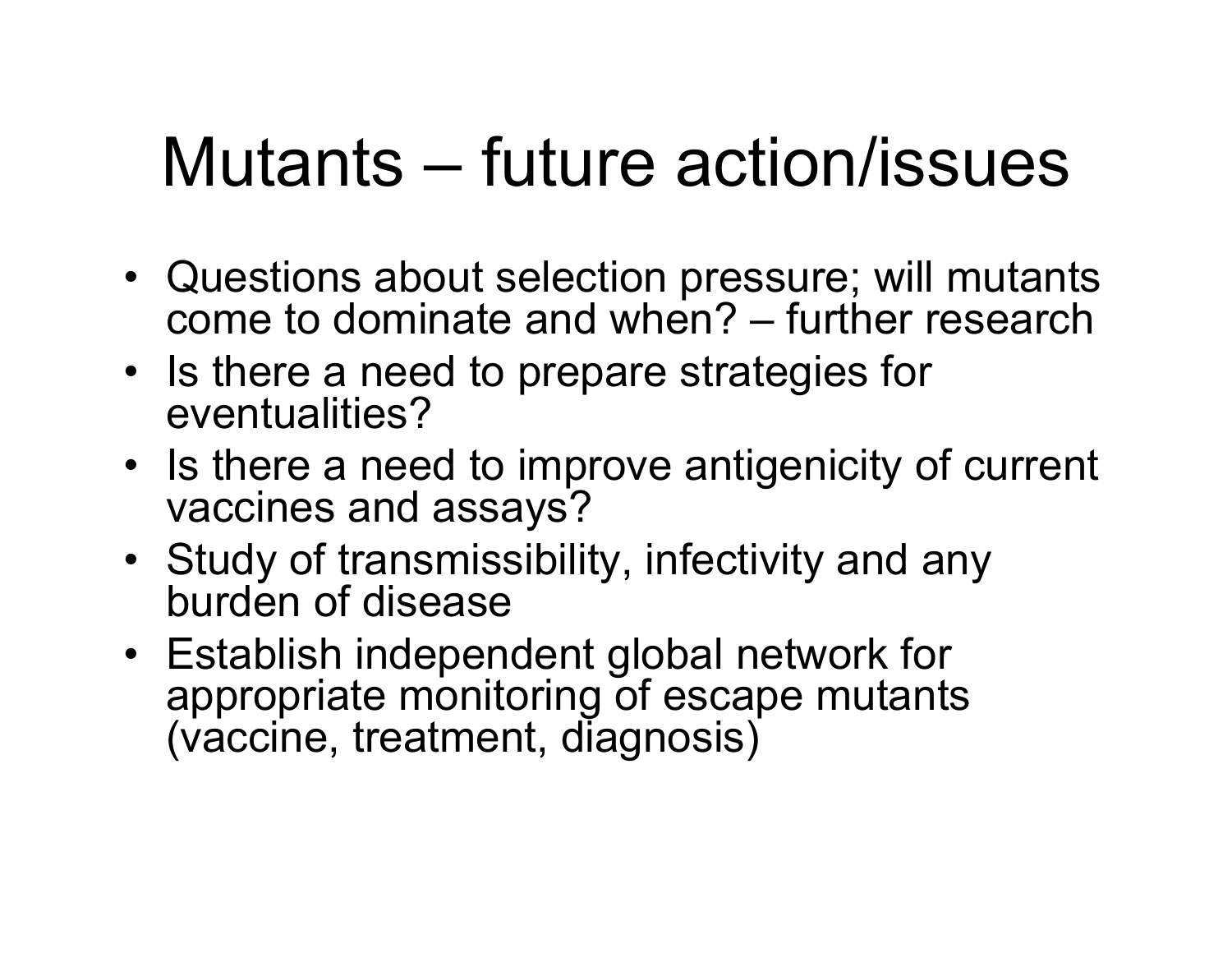# Mutants – future action/issues

- Questions about selection pressure; will mutants come to dominate and when? – further research
- Is there a need to prepare strategies for eventualities?
- Is there a need to improve antigenicity of current vaccines and assays?
- Study of transmissibility, infectivity and any burden of disease
- Establish independent global network for appropriate monitoring of escape mutants (vaccine, treatment, diagnosis)